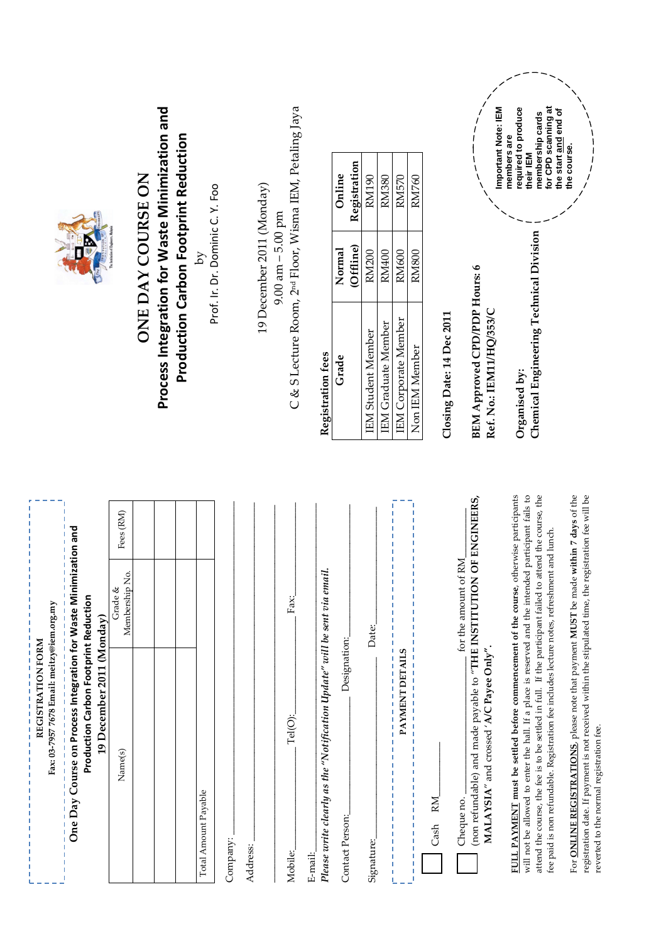| Fax: 03-7957 7678 Email: meitzy@iem.org.my                                                                                                                                                                                                                                                                                                                                     |                           |                           |                                                                     |                                                            |                                              |                                                                                                               |
|--------------------------------------------------------------------------------------------------------------------------------------------------------------------------------------------------------------------------------------------------------------------------------------------------------------------------------------------------------------------------------|---------------------------|---------------------------|---------------------------------------------------------------------|------------------------------------------------------------|----------------------------------------------|---------------------------------------------------------------------------------------------------------------|
| One Day Course on Process Integration for Waste Minimization and                                                                                                                                                                                                                                                                                                               |                           |                           |                                                                     |                                                            |                                              |                                                                                                               |
| Production Carbon Footprint Reduction<br>19 December 2011 (Monday)                                                                                                                                                                                                                                                                                                             |                           |                           |                                                                     |                                                            |                                              |                                                                                                               |
| Name(s)                                                                                                                                                                                                                                                                                                                                                                        | Membership No.<br>Grade & | Fees (RM)                 |                                                                     |                                                            |                                              |                                                                                                               |
|                                                                                                                                                                                                                                                                                                                                                                                |                           |                           |                                                                     | <b>ONE DAY COURSE ON</b>                                   |                                              |                                                                                                               |
|                                                                                                                                                                                                                                                                                                                                                                                |                           |                           | Process Integration for Waste Minimization and                      |                                                            |                                              |                                                                                                               |
|                                                                                                                                                                                                                                                                                                                                                                                |                           |                           |                                                                     |                                                            | <b>Production Carbon Footprint Reduction</b> |                                                                                                               |
| Total Amount Payable                                                                                                                                                                                                                                                                                                                                                           |                           |                           |                                                                     | Prof. Ir. Dr. Dominic C. Y. Foo<br>$\overline{\mathsf{S}}$ |                                              |                                                                                                               |
| Company:                                                                                                                                                                                                                                                                                                                                                                       |                           |                           |                                                                     |                                                            |                                              |                                                                                                               |
| Address:                                                                                                                                                                                                                                                                                                                                                                       |                           |                           |                                                                     |                                                            |                                              |                                                                                                               |
|                                                                                                                                                                                                                                                                                                                                                                                |                           |                           |                                                                     | 19 December 2011 (Monday)                                  |                                              |                                                                                                               |
|                                                                                                                                                                                                                                                                                                                                                                                |                           |                           |                                                                     | $9.00$ am $-5.00$ pm                                       |                                              |                                                                                                               |
| Tel(O):<br>Mobile:                                                                                                                                                                                                                                                                                                                                                             | Fax: $\overline{ }$       |                           | C & S Lecture Room, 2 <sup>nd</sup> Floor, Wisma IEM, Petaling Jaya |                                                            |                                              |                                                                                                               |
| E-mail:                                                                                                                                                                                                                                                                                                                                                                        |                           |                           |                                                                     |                                                            |                                              |                                                                                                               |
| Please write clearly as the "Notification Update" will be sent via email.                                                                                                                                                                                                                                                                                                      |                           |                           | Registration fees                                                   |                                                            |                                              |                                                                                                               |
| Designation:<br>Contact Person:                                                                                                                                                                                                                                                                                                                                                |                           |                           | Grade                                                               | (Offline)<br>Normal                                        | Registration<br>Online                       |                                                                                                               |
| Signature:                                                                                                                                                                                                                                                                                                                                                                     | Date:                     |                           | <b>IEM Student Member</b>                                           | <b>RM200</b>                                               | RM190                                        |                                                                                                               |
|                                                                                                                                                                                                                                                                                                                                                                                |                           |                           | IEM Graduate Member                                                 | <b>RM400</b>                                               | <b>RM380</b>                                 |                                                                                                               |
| PAYMENT DETAILS<br>$\frac{1}{1}$<br>$\frac{1}{1}$                                                                                                                                                                                                                                                                                                                              |                           |                           | <b>IEM</b> Corporate Member                                         | <b>RM600</b>                                               | <b>RM570</b>                                 |                                                                                                               |
| $\begin{array}{c} 1 \\ 1 \\ 1 \\ 1 \end{array}$<br>T                                                                                                                                                                                                                                                                                                                           |                           |                           | Non IEM Member                                                      | <b>RM800</b>                                               | <b>RM760</b>                                 |                                                                                                               |
| Cash RM                                                                                                                                                                                                                                                                                                                                                                        |                           |                           | Closing Date: 14 Dec 2011                                           |                                                            |                                              |                                                                                                               |
| Cheque no.                                                                                                                                                                                                                                                                                                                                                                     | for the amount of RM      |                           |                                                                     |                                                            |                                              |                                                                                                               |
| (non refundable) and made payable to "THE INSTITUTION OF ENGINEERS,<br>$\mathbf{MALAYSIA}''$ and crossed ' $\mathbf{A/C}$ $\mathbf{Page\text{-}Only}''$ .                                                                                                                                                                                                                      |                           |                           | <b>BEM Approved CPD/PDP Hours: 6</b><br>Ref. No.: IEM11/HQ/353/C    |                                                            |                                              |                                                                                                               |
| FULL PAYMENT must be settled before commencement of the course, otherwise participants<br>will not be allowed to enter the hall. If a place is reserved and the intended participant fails to<br>fee paid is non refundable. Registration fee includes lecture notes, refreshment and lunch.<br>attend the course, the fee is to be settled in full. If the participant failed |                           | to attend the course, the | Chemical Engineering Technical Division<br>Organised by:            |                                                            | members are<br>their IEM                     | for CPD scanning at<br>required to produce<br>Important Note: IEM<br>the start and end of<br>membership cards |
| For ONLINE REGISTRATIONS, please note that payment MUST be made within 7 days of the<br>registration date. If payment is not received within the stipulated time, the registration fee will be<br>reverted to the normal registration fee.                                                                                                                                     |                           |                           |                                                                     |                                                            | the course.                                  |                                                                                                               |

**REGISTRATION FORM** 

---------------<br>REGISTRATION FORM